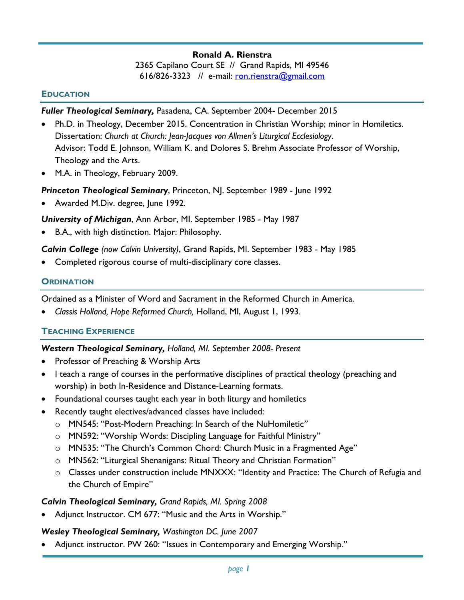### **Ronald A. Rienstra**

2365 Capilano Court SE // Grand Rapids, MI 49546 616/826-3323 // e-mail: ron.rienstra@gmail.com

#### **EDUCATION**

#### *Fuller Theological Seminary,* Pasadena, CA. September 2004- December 2015

- Ph.D. in Theology, December 2015. Concentration in Christian Worship; minor in Homiletics. Dissertation: *Church at Church: Jean-Jacques von Allmen's Liturgical Ecclesiology*. Advisor: Todd E. Johnson, William K. and Dolores S. Brehm Associate Professor of Worship, Theology and the Arts.
- M.A. in Theology, February 2009.

#### *Princeton Theological Seminary*, Princeton, NJ. September 1989 - June 1992

• Awarded M.Div. degree, June 1992.

#### *University of Michigan*, Ann Arbor, MI. September 1985 - May 1987

• B.A., with high distinction. Major: Philosophy.

#### *Calvin College (now Calvin University)*, Grand Rapids, MI. September 1983 - May 1985

• Completed rigorous course of multi-disciplinary core classes.

#### **ORDINATION**

Ordained as a Minister of Word and Sacrament in the Reformed Church in America.

• *Classis Holland, Hope Reformed Church,* Holland, MI, August 1, 1993.

#### **TEACHING EXPERIENCE**

#### *Western Theological Seminary, Holland, MI. September 2008- Present*

- Professor of Preaching & Worship Arts
- I teach a range of courses in the performative disciplines of practical theology (preaching and worship) in both In-Residence and Distance-Learning formats.
- Foundational courses taught each year in both liturgy and homiletics
- Recently taught electives/advanced classes have included:
	- o MN545: "Post-Modern Preaching: In Search of the NuHomiletic*"*
	- o MN592: "Worship Words: Discipling Language for Faithful Ministry"
	- o MN535: "The Church's Common Chord: Church Music in a Fragmented Age"
	- o MN562: "Liturgical Shenanigans: Ritual Theory and Christian Formation"
	- o Classes under construction include MNXXX: "Identity and Practice: The Church of Refugia and the Church of Empire"

#### *Calvin Theological Seminary, Grand Rapids, MI. Spring 2008*

• Adjunct Instructor. CM 677: "Music and the Arts in Worship."

#### *Wesley Theological Seminary, Washington DC. June 2007*

• Adjunct instructor. PW 260: "Issues in Contemporary and Emerging Worship."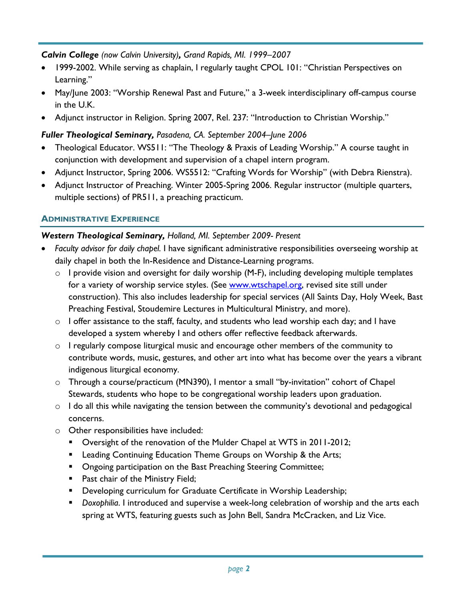### *Calvin College (now Calvin University), Grand Rapids, MI. 1999–2007*

- 1999-2002. While serving as chaplain, I regularly taught CPOL 101: "Christian Perspectives on Learning."
- May/June 2003: "Worship Renewal Past and Future," a 3-week interdisciplinary off-campus course in the U.K.
- Adjunct instructor in Religion. Spring 2007, Rel. 237: "Introduction to Christian Worship."

# *Fuller Theological Seminary, Pasadena, CA. September 2004–June 2006*

- Theological Educator. WS511: "The Theology & Praxis of Leading Worship." A course taught in conjunction with development and supervision of a chapel intern program.
- Adjunct Instructor, Spring 2006. WS5512: "Crafting Words for Worship" (with Debra Rienstra).
- Adjunct Instructor of Preaching. Winter 2005-Spring 2006. Regular instructor (multiple quarters, multiple sections) of PR511, a preaching practicum.

# **ADMINISTRATIVE EXPERIENCE**

### *Western Theological Seminary, Holland, MI. September 2009- Present*

- *Faculty advisor for daily chapel.* I have significant administrative responsibilities overseeing worship at daily chapel in both the In-Residence and Distance-Learning programs.
	- $\circ$  I provide vision and oversight for daily worship (M-F), including developing multiple templates for a variety of worship service styles. (See www.wtschapel.org, revised site still under construction). This also includes leadership for special services (All Saints Day, Holy Week, Bast Preaching Festival, Stoudemire Lectures in Multicultural Ministry, and more).
	- $\circ$  I offer assistance to the staff, faculty, and students who lead worship each day; and I have developed a system whereby I and others offer reflective feedback afterwards.
	- $\circ$  I regularly compose liturgical music and encourage other members of the community to contribute words, music, gestures, and other art into what has become over the years a vibrant indigenous liturgical economy.
	- o Through a course/practicum (MN390), I mentor a small "by-invitation" cohort of Chapel Stewards, students who hope to be congregational worship leaders upon graduation.
	- $\circ$  I do all this while navigating the tension between the community's devotional and pedagogical concerns.
	- o Other responsibilities have included:
		- Oversight of the renovation of the Mulder Chapel at WTS in 2011-2012;
		- Leading Continuing Education Theme Groups on Worship & the Arts;
		- Ongoing participation on the Bast Preaching Steering Committee;
		- Past chair of the Ministry Field;
		- Developing curriculum for Graduate Certificate in Worship Leadership;
		- *Doxophilia*. I introduced and supervise a week-long celebration of worship and the arts each spring at WTS, featuring guests such as John Bell, Sandra McCracken, and Liz Vice.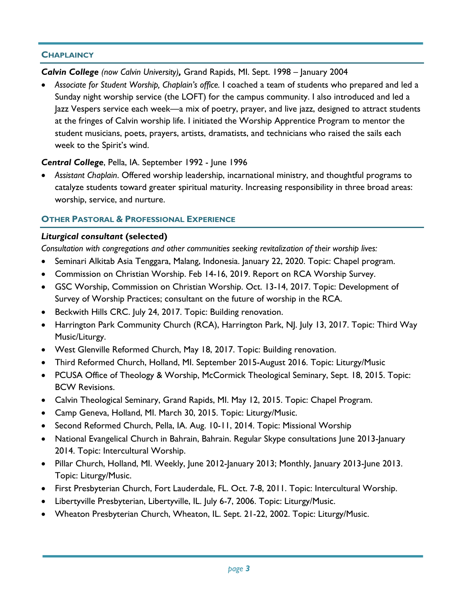### **CHAPLAINCY**

*Calvin College (now Calvin University),* Grand Rapids, MI. Sept. 1998 – January 2004

• *Associate for Student Worship, Chaplain's office.* I coached a team of students who prepared and led a Sunday night worship service (the LOFT) for the campus community. I also introduced and led a Jazz Vespers service each week—a mix of poetry, prayer, and live jazz, designed to attract students at the fringes of Calvin worship life. I initiated the Worship Apprentice Program to mentor the student musicians, poets, prayers, artists, dramatists, and technicians who raised the sails each week to the Spirit's wind.

## *Central College*, Pella, IA. September 1992 - June 1996

• *Assistant Chaplain*. Offered worship leadership, incarnational ministry, and thoughtful programs to catalyze students toward greater spiritual maturity. Increasing responsibility in three broad areas: worship, service, and nurture.

## **OTHER PASTORAL & PROFESSIONAL EXPERIENCE**

## *Liturgical consultant* **(selected)**

*Consultation with congregations and other communities seeking revitalization of their worship lives:*

- Seminari Alkitab Asia Tenggara, Malang, Indonesia. January 22, 2020. Topic: Chapel program.
- Commission on Christian Worship. Feb 14-16, 2019. Report on RCA Worship Survey.
- GSC Worship, Commission on Christian Worship. Oct. 13-14, 2017. Topic: Development of Survey of Worship Practices; consultant on the future of worship in the RCA.
- Beckwith Hills CRC. July 24, 2017. Topic: Building renovation.
- Harrington Park Community Church (RCA), Harrington Park, NJ. July 13, 2017. Topic: Third Way Music/Liturgy.
- West Glenville Reformed Church, May 18, 2017. Topic: Building renovation.
- Third Reformed Church, Holland, MI. September 2015-August 2016. Topic: Liturgy/Music
- PCUSA Office of Theology & Worship, McCormick Theological Seminary, Sept. 18, 2015. Topic: BCW Revisions.
- Calvin Theological Seminary, Grand Rapids, MI. May 12, 2015. Topic: Chapel Program.
- Camp Geneva, Holland, MI. March 30, 2015. Topic: Liturgy/Music.
- Second Reformed Church, Pella, IA. Aug. 10-11, 2014. Topic: Missional Worship
- National Evangelical Church in Bahrain, Bahrain. Regular Skype consultations June 2013-January 2014. Topic: Intercultural Worship.
- Pillar Church, Holland, MI. Weekly, June 2012-January 2013; Monthly, January 2013-June 2013. Topic: Liturgy/Music.
- First Presbyterian Church, Fort Lauderdale, FL. Oct. 7-8, 2011. Topic: Intercultural Worship.
- Libertyville Presbyterian, Libertyville, IL. July 6-7, 2006. Topic: Liturgy/Music.
- Wheaton Presbyterian Church, Wheaton, IL. Sept. 21-22, 2002. Topic: Liturgy/Music.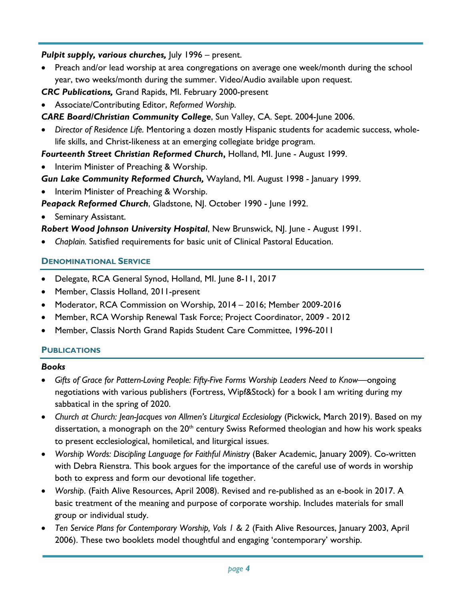### *Pulpit supply, various churches,* July 1996 – present.

• Preach and/or lead worship at area congregations on average one week/month during the school year, two weeks/month during the summer. Video/Audio available upon request.

*CRC Publications,* Grand Rapids, MI. February 2000-present

• Associate/Contributing Editor, *Reformed Worship.*

*CARE Board/Christian Community College*, Sun Valley, CA. Sept. 2004-June 2006.

• *Director of Residence Life.* Mentoring a dozen mostly Hispanic students for academic success, wholelife skills, and Christ-likeness at an emerging collegiate bridge program.

*Fourteenth Street Christian Reformed Church***,** Holland, MI. June - August 1999.

• Interim Minister of Preaching & Worship.

*Gun Lake Community Reformed Church,* Wayland, MI. August 1998 - January 1999.

Interim Minister of Preaching & Worship.

Peapack Reformed Church, Gladstone, NJ. October 1990 - June 1992.

Seminary Assistant.

*Robert Wood Johnson University Hospital*, New Brunswick, NJ. June - August 1991.

• *Chaplain.* Satisfied requirements for basic unit of Clinical Pastoral Education.

### **DENOMINATIONAL SERVICE**

- Delegate, RCA General Synod, Holland, MI. June 8-11, 2017
- Member, Classis Holland, 2011-present
- Moderator, RCA Commission on Worship, 2014 2016; Member 2009-2016
- Member, RCA Worship Renewal Task Force; Project Coordinator, 2009 2012
- Member, Classis North Grand Rapids Student Care Committee, 1996-2011

## **PUBLICATIONS**

### *Books*

- *Gifts of Grace for Pattern-Loving People: Fifty-Five Forms Worship Leaders Need to Know*—ongoing negotiations with various publishers (Fortress, Wipf&Stock) for a book I am writing during my sabbatical in the spring of 2020.
- *Church at Church: Jean-Jacques von Allmen's Liturgical Ecclesiology* (Pickwick, March 2019). Based on my dissertation, a monograph on the  $20<sup>th</sup>$  century Swiss Reformed theologian and how his work speaks to present ecclesiological, homiletical, and liturgical issues.
- *Worship Words: Discipling Language for Faithful Ministry* (Baker Academic, January 2009). Co-written with Debra Rienstra. This book argues for the importance of the careful use of words in worship both to express and form our devotional life together.
- *Worship*. (Faith Alive Resources, April 2008). Revised and re-published as an e-book in 2017. A basic treatment of the meaning and purpose of corporate worship. Includes materials for small group or individual study.
- *Ten Service Plans for Contemporary Worship, Vols 1 & 2* (Faith Alive Resources, January 2003, April 2006). These two booklets model thoughtful and engaging 'contemporary' worship.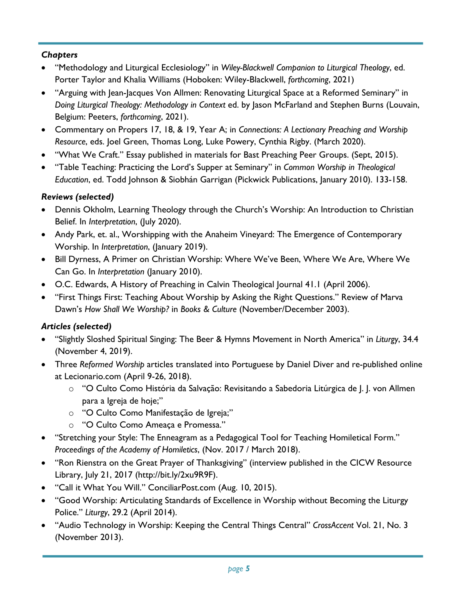# *Chapters*

- "Methodology and Liturgical Ecclesiology" in *Wiley-Blackwell Companion to Liturgical Theology*, ed. Porter Taylor and Khalia Williams (Hoboken: Wiley-Blackwell, *forthcoming*, 2021)
- "Arguing with Jean-Jacques Von Allmen: Renovating Liturgical Space at a Reformed Seminary" in *Doing Liturgical Theology: Methodology in Context* ed. by Jason McFarland and Stephen Burns (Louvain, Belgium: Peeters, *forthcoming*, 2021).
- Commentary on Propers 17, 18, & 19, Year A; in *Connections: A Lectionary Preaching and Worship Resource*, eds. Joel Green, Thomas Long, Luke Powery, Cynthia Rigby. (March 2020).
- "What We Craft." Essay published in materials for Bast Preaching Peer Groups. (Sept, 2015).
- "Table Teaching: Practicing the Lord's Supper at Seminary" in *Common Worship in Theological Education*, ed. Todd Johnson & Siobhán Garrigan (Pickwick Publications, January 2010). 133-158.

# *Reviews (selected)*

- Dennis Okholm, Learning Theology through the Church's Worship: An Introduction to Christian Belief. In *Interpretation*, (July 2020).
- Andy Park, et. al., Worshipping with the Anaheim Vineyard: The Emergence of Contemporary Worship. In *Interpretation*, (January 2019).
- Bill Dyrness, A Primer on Christian Worship: Where We've Been, Where We Are, Where We Can Go. In *Interpretation* (January 2010).
- O.C. Edwards, A History of Preaching in Calvin Theological Journal 41.1 (April 2006).
- "First Things First: Teaching About Worship by Asking the Right Questions." Review of Marva Dawn's *How Shall We Worship?* in *Books & Culture* (November/December 2003).

## *Articles (selected)*

- "Slightly Sloshed Spiritual Singing: The Beer & Hymns Movement in North America" in *Liturgy*, 34.4 (November 4, 2019).
- Three *Reformed Worship* articles translated into Portuguese by Daniel Diver and re-published online at Lecionario.com (April 9-26, 2018).
	- o "O Culto Como História da Salvação: Revisitando a Sabedoria Litúrgica de J. J. von Allmen para a Igreja de hoje;"
	- o "O Culto Como Manifestação de Igreja;"
	- o "O Culto Como Ameaça e Promessa."
- "Stretching your Style: The Enneagram as a Pedagogical Tool for Teaching Homiletical Form." *Proceedings of the Academy of Homiletics*, (Nov. 2017 / March 2018).
- "Ron Rienstra on the Great Prayer of Thanksgiving" (interview published in the CICW Resource Library, July 21, 2017 (http://bit.ly/2xu9R9F).
- "Call it What You Will." ConciliarPost.com (Aug. 10, 2015).
- "Good Worship: Articulating Standards of Excellence in Worship without Becoming the Liturgy Police." *Liturgy*, 29.2 (April 2014).
- "Audio Technology in Worship: Keeping the Central Things Central" *CrossAccent* Vol. 21, No. 3 (November 2013).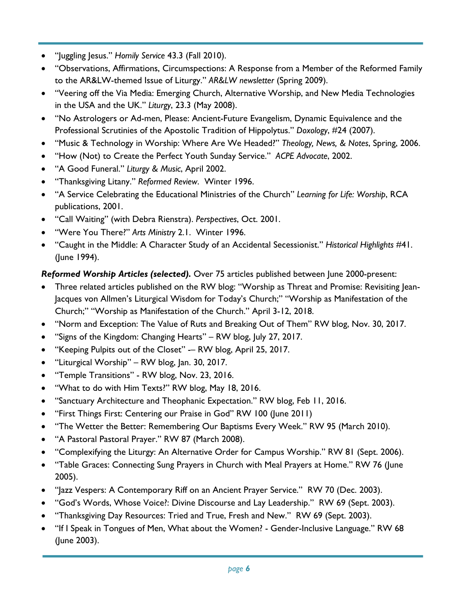- "Juggling Jesus." *Homily Service* 43.3 (Fall 2010).
- "Observations, Affirmations, Circumspections: A Response from a Member of the Reformed Family to the AR&LW-themed Issue of Liturgy." *AR&LW newsletter* (Spring 2009).
- "Veering off the Via Media: Emerging Church, Alternative Worship, and New Media Technologies in the USA and the UK." *Liturgy*, 23.3 (May 2008).
- "No Astrologers or Ad-men, Please: Ancient-Future Evangelism, Dynamic Equivalence and the Professional Scrutinies of the Apostolic Tradition of Hippolytus." *Doxology*, #24 (2007).
- "Music & Technology in Worship: Where Are We Headed?" *Theology, News, & Notes*, Spring, 2006.
- "How (Not) to Create the Perfect Youth Sunday Service." *ACPE Advocate*, 2002.
- "A Good Funeral." *Liturgy & Music*, April 2002.
- "Thanksgiving Litany." *Reformed Review*. Winter 1996.
- "A Service Celebrating the Educational Ministries of the Church" *Learning for Life: Worship*, RCA publications, 2001.
- "Call Waiting" (with Debra Rienstra). *Perspectives*, Oct. 2001.
- "Were You There?" *Arts Ministry* 2.1. Winter 1996.
- "Caught in the Middle: A Character Study of an Accidental Secessionist." *Historical Highlights* #41. (June 1994).

### *Reformed Worship Articles (selected).* Over 75 articles published between June 2000-present:

- Three related articles published on the RW blog: "Worship as Threat and Promise: Revisiting Jean-Jacques von Allmen's Liturgical Wisdom for Today's Church;" "Worship as Manifestation of the Church;" "Worship as Manifestation of the Church." April 3-12, 2018.
- "Norm and Exception: The Value of Ruts and Breaking Out of Them" RW blog, Nov. 30, 2017.
- "Signs of the Kingdom: Changing Hearts" RW blog, July 27, 2017.
- "Keeping Pulpits out of the Closet" -– RW blog, April 25, 2017.
- "Liturgical Worship" RW blog, Jan. 30, 2017.
- "Temple Transitions" RW blog, Nov. 23, 2016.
- "What to do with Him Texts?" RW blog, May 18, 2016.
- "Sanctuary Architecture and Theophanic Expectation." RW blog, Feb 11, 2016.
- "First Things First: Centering our Praise in God" RW 100 (June 2011)
- "The Wetter the Better: Remembering Our Baptisms Every Week." RW 95 (March 2010).
- "A Pastoral Pastoral Prayer." RW 87 (March 2008).
- "Complexifying the Liturgy: An Alternative Order for Campus Worship." RW 81 (Sept. 2006).
- "Table Graces: Connecting Sung Prayers in Church with Meal Prayers at Home." RW 76 (June 2005).
- "Jazz Vespers: A Contemporary Riff on an Ancient Prayer Service." RW 70 (Dec. 2003).
- "God's Words, Whose Voice?: Divine Discourse and Lay Leadership." RW 69 (Sept. 2003).
- "Thanksgiving Day Resources: Tried and True, Fresh and New." RW 69 (Sept. 2003).
- "If I Speak in Tongues of Men, What about the Women? Gender-Inclusive Language." RW 68 (June 2003).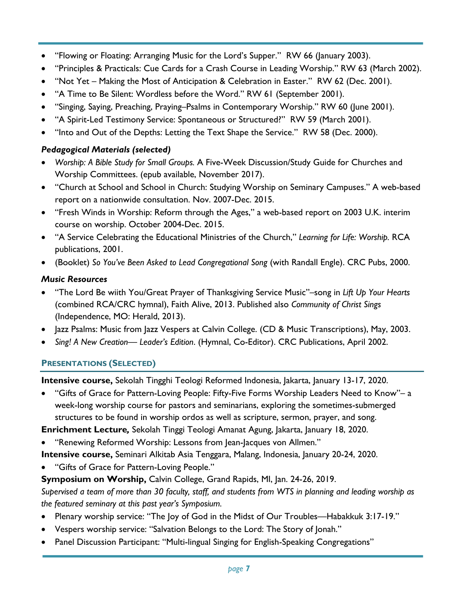- "Flowing or Floating: Arranging Music for the Lord's Supper." RW 66 (January 2003).
- "Principles & Practicals: Cue Cards for a Crash Course in Leading Worship." RW 63 (March 2002).
- "Not Yet Making the Most of Anticipation & Celebration in Easter." RW 62 (Dec. 2001).
- "A Time to Be Silent: Wordless before the Word." RW 61 (September 2001).
- "Singing, Saying, Preaching, Praying–Psalms in Contemporary Worship." RW 60 (June 2001).
- "A Spirit-Led Testimony Service: Spontaneous or Structured?" RW 59 (March 2001).
- "Into and Out of the Depths: Letting the Text Shape the Service." RW 58 (Dec. 2000).

# *Pedagogical Materials (selected)*

- *Worship: A Bible Study for Small Groups.* A Five-Week Discussion/Study Guide for Churches and Worship Committees. (epub available, November 2017).
- "Church at School and School in Church: Studying Worship on Seminary Campuses." A web-based report on a nationwide consultation. Nov. 2007-Dec. 2015.
- "Fresh Winds in Worship: Reform through the Ages," a web-based report on 2003 U.K. interim course on worship. October 2004-Dec. 2015.
- "A Service Celebrating the Educational Ministries of the Church," *Learning for Life: Worship.* RCA publications, 2001.
- (Booklet) *So You've Been Asked to Lead Congregational Song* (with Randall Engle). CRC Pubs, 2000.

# *Music Resources*

- "The Lord Be wiith You/Great Prayer of Thanksgiving Service Music"–song in *Lift Up Your Hearts*  (combined RCA/CRC hymnal), Faith Alive, 2013. Published also *Community of Christ Sings* (Independence, MO: Herald, 2013).
- Jazz Psalms: Music from Jazz Vespers at Calvin College. (CD & Music Transcriptions), May, 2003.
- *Sing! A New Creation— Leader's Edition*. (Hymnal, Co-Editor). CRC Publications, April 2002.

# **PRESENTATIONS (SELECTED)**

**Intensive course,** Sekolah Tingghi Teologi Reformed Indonesia, Jakarta, January 13-17, 2020.

• "Gifts of Grace for Pattern-Loving People: Fifty-Five Forms Worship Leaders Need to Know"– a week-long worship course for pastors and seminarians, exploring the sometimes-submerged structures to be found in worship ordos as well as scripture, sermon, prayer, and song.

**Enrichment Lecture***,* Sekolah Tinggi Teologi Amanat Agung, Jakarta, January 18, 2020.

• "Renewing Reformed Worship: Lessons from Jean-Jacques von Allmen."

**Intensive course,** Seminari Alkitab Asia Tenggara, Malang, Indonesia, January 20-24, 2020.

• "Gifts of Grace for Pattern-Loving People."

**Symposium on Worship,** Calvin College, Grand Rapids, MI, Jan. 24-26, 2019.

*Supervised a team of more than 30 faculty, staff, and students from WTS in planning and leading worship as the featured seminary at this past year's Symposium.* 

- Plenary worship service: "The Joy of God in the Midst of Our Troubles—Habakkuk 3:17-19."
- Vespers worship service: "Salvation Belongs to the Lord: The Story of Jonah."
- Panel Discussion Participant: "Multi-lingual Singing for English-Speaking Congregations"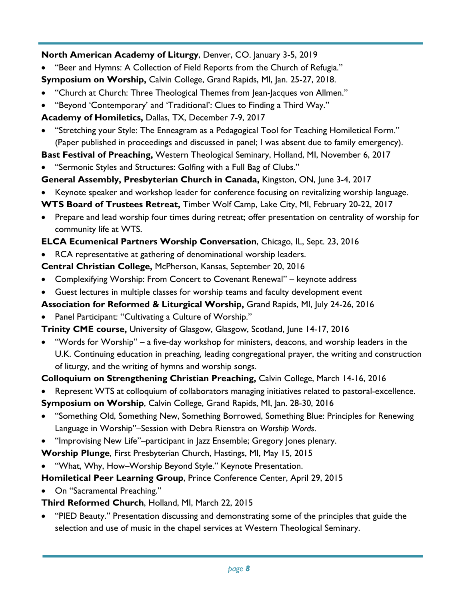# **North American Academy of Liturgy**, Denver, CO. January 3-5, 2019

• "Beer and Hymns: A Collection of Field Reports from the Church of Refugia."

**Symposium on Worship,** Calvin College, Grand Rapids, MI, Jan. 25-27, 2018.

- "Church at Church: Three Theological Themes from Jean-Jacques von Allmen."
- "Beyond 'Contemporary' and 'Traditional': Clues to Finding a Third Way."
- **Academy of Homiletics,** Dallas, TX, December 7-9, 2017
- "Stretching your Style: The Enneagram as a Pedagogical Tool for Teaching Homiletical Form." (Paper published in proceedings and discussed in panel; I was absent due to family emergency).

**Bast Festival of Preaching,** Western Theological Seminary, Holland, MI, November 6, 2017

- "Sermonic Styles and Structures: Golfing with a Full Bag of Clubs."
- **General Assembly, Presbyterian Church in Canada,** Kingston, ON, June 3-4, 2017
- Keynote speaker and workshop leader for conference focusing on revitalizing worship language.

**WTS Board of Trustees Retreat,** Timber Wolf Camp, Lake City, MI, February 20-22, 2017

• Prepare and lead worship four times during retreat; offer presentation on centrality of worship for community life at WTS.

# **ELCA Ecumenical Partners Worship Conversation**, Chicago, IL, Sept. 23, 2016

• RCA representative at gathering of denominational worship leaders.

**Central Christian College,** McPherson, Kansas, September 20, 2016

- Complexifying Worship: From Concert to Covenant Renewal" keynote address
- Guest lectures in multiple classes for worship teams and faculty development event
- **Association for Reformed & Liturgical Worship,** Grand Rapids, MI, July 24-26, 2016
- Panel Participant: "Cultivating a Culture of Worship."
- **Trinity CME course,** University of Glasgow, Glasgow, Scotland, June 14-17, 2016
- "Words for Worship" a five-day workshop for ministers, deacons, and worship leaders in the U.K. Continuing education in preaching, leading congregational prayer, the writing and construction of liturgy, and the writing of hymns and worship songs.

# **Colloquium on Strengthening Christian Preaching,** Calvin College, March 14-16, 2016

• Represent WTS at colloquium of collaborators managing initiatives related to pastoral-excellence.

**Symposium on Worship**, Calvin College, Grand Rapids, MI, Jan. 28-30, 2016

- "Something Old, Something New, Something Borrowed, Something Blue: Principles for Renewing Language in Worship"–Session with Debra Rienstra on *Worship Words*.
- "Improvising New Life"–participant in Jazz Ensemble; Gregory Jones plenary.

**Worship Plunge**, First Presbyterian Church, Hastings, MI, May 15, 2015

• "What, Why, How–Worship Beyond Style." Keynote Presentation.

**Homiletical Peer Learning Group**, Prince Conference Center, April 29, 2015

• On "Sacramental Preaching."

# **Third Reformed Church**, Holland, MI, March 22, 2015

• "PIED Beauty." Presentation discussing and demonstrating some of the principles that guide the selection and use of music in the chapel services at Western Theological Seminary.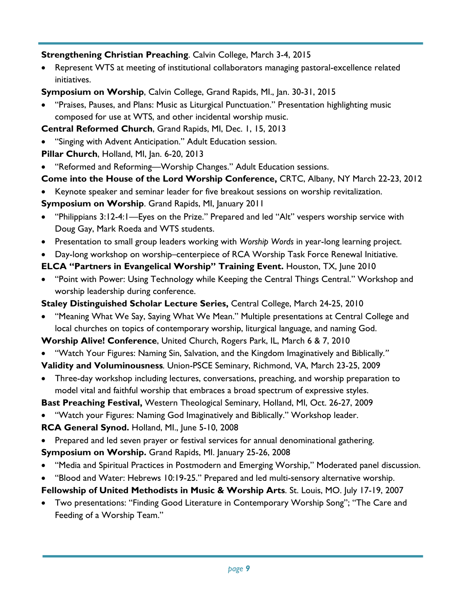### **Strengthening Christian Preaching**. Calvin College, March 3-4, 2015

• Represent WTS at meeting of institutional collaborators managing pastoral-excellence related initiatives.

**Symposium on Worship**, Calvin College, Grand Rapids, MI., Jan. 30-31, 2015

• "Praises, Pauses, and Plans: Music as Liturgical Punctuation." Presentation highlighting music composed for use at WTS, and other incidental worship music.

**Central Reformed Church**, Grand Rapids, MI, Dec. 1, 15, 2013

- "Singing with Advent Anticipation." Adult Education session.
- **Pillar Church**, Holland, MI, Jan. 6-20, 2013
- "Reformed and Reforming—Worship Changes." Adult Education sessions.

# **Come into the House of the Lord Worship Conference,** CRTC, Albany, NY March 22-23, 2012

- Keynote speaker and seminar leader for five breakout sessions on worship revitalization. **Symposium on Worship**. Grand Rapids, MI, January 2011
- "Philippians 3:12-4:1—Eyes on the Prize." Prepared and led "Alt" vespers worship service with Doug Gay, Mark Roeda and WTS students.
- Presentation to small group leaders working with *Worship Words* in year-long learning project.
- Day-long workshop on worship–centerpiece of RCA Worship Task Force Renewal Initiative.

## **ELCA "Partners in Evangelical Worship" Training Event.** Houston, TX, June 2010

• "Point with Power: Using Technology while Keeping the Central Things Central." Workshop and worship leadership during conference.

### **Staley Distinguished Scholar Lecture Series,** Central College, March 24-25, 2010

• "Meaning What We Say, Saying What We Mean." Multiple presentations at Central College and local churches on topics of contemporary worship, liturgical language, and naming God.

**Worship Alive! Conference**, United Church, Rogers Park, IL, March 6 & 7, 2010

• "Watch Your Figures: Naming Sin, Salvation, and the Kingdom Imaginatively and Biblically*."*

**Validity and Voluminousness***.* Union-PSCE Seminary, Richmond, VA, March 23-25, 2009

• Three-day workshop including lectures, conversations, preaching, and worship preparation to model vital and faithful worship that embraces a broad spectrum of expressive styles.

**Bast Preaching Festival,** Western Theological Seminary, Holland, MI, Oct. 26-27, 2009

• "Watch your Figures: Naming God Imaginatively and Biblically." Workshop leader.

**RCA General Synod.** Holland, MI., June 5-10, 2008

• Prepared and led seven prayer or festival services for annual denominational gathering.

**Symposium on Worship.** Grand Rapids, MI. January 25-26, 2008

- "Media and Spiritual Practices in Postmodern and Emerging Worship," Moderated panel discussion.
- "Blood and Water: Hebrews 10:19-25." Prepared and led multi-sensory alternative worship.
- **Fellowship of United Methodists in Music & Worship Arts**. St. Louis, MO. July 17-19, 2007
- Two presentations: "Finding Good Literature in Contemporary Worship Song"; "The Care and Feeding of a Worship Team."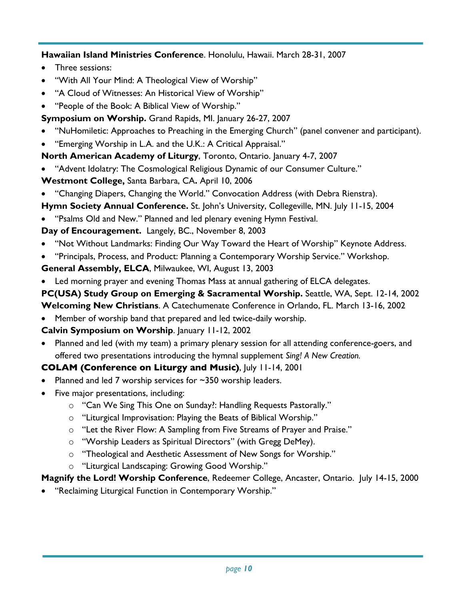**Hawaiian Island Ministries Conference**. Honolulu, Hawaii. March 28-31, 2007

- Three sessions:
- "With All Your Mind: A Theological View of Worship"
- "A Cloud of Witnesses: An Historical View of Worship"
- "People of the Book: A Biblical View of Worship."
- **Symposium on Worship.** Grand Rapids, MI. January 26-27, 2007
- "NuHomiletic: Approaches to Preaching in the Emerging Church" (panel convener and participant).
- "Emerging Worship in L.A. and the U.K.: A Critical Appraisal."

**North American Academy of Liturgy**, Toronto, Ontario. January 4-7, 2007

- "Advent Idolatry: The Cosmological Religious Dynamic of our Consumer Culture."
- **Westmont College,** Santa Barbara, CA**.** April 10, 2006
- "Changing Diapers, Changing the World." Convocation Address (with Debra Rienstra).
- **Hymn Society Annual Conference.** St. John's University, Collegeville, MN. July 11-15, 2004
- "Psalms Old and New." Planned and led plenary evening Hymn Festival.

# **Day of Encouragement.** Langely, BC., November 8, 2003

- "Not Without Landmarks: Finding Our Way Toward the Heart of Worship" Keynote Address.
- "Principals, Process, and Product: Planning a Contemporary Worship Service." Workshop.
- **General Assembly, ELCA**, Milwaukee, WI, August 13, 2003
- Led morning prayer and evening Thomas Mass at annual gathering of ELCA delegates.

**PC(USA) Study Group on Emerging & Sacramental Worship.** Seattle, WA, Sept. 12-14, 2002

- **Welcoming New Christians**. A Catechumenate Conference in Orlando, FL. March 13-16, 2002
- Member of worship band that prepared and led twice-daily worship.

## **Calvin Symposium on Worship**. January 11-12, 2002

• Planned and led (with my team) a primary plenary session for all attending conference-goers, and offered two presentations introducing the hymnal supplement *Sing! A New Creation.*

# **COLAM (Conference on Liturgy and Music)**, July 11-14, 2001

- Planned and led 7 worship services for  $\sim$ 350 worship leaders.
- Five major presentations, including:
	- o "Can We Sing This One on Sunday?: Handling Requests Pastorally."
	- o "Liturgical Improvisation: Playing the Beats of Biblical Worship."
	- o "Let the River Flow: A Sampling from Five Streams of Prayer and Praise."
	- o "Worship Leaders as Spiritual Directors" (with Gregg DeMey).
	- o "Theological and Aesthetic Assessment of New Songs for Worship."
	- o "Liturgical Landscaping: Growing Good Worship."

# **Magnify the Lord! Worship Conference**, Redeemer College, Ancaster, Ontario. July 14-15, 2000

• "Reclaiming Liturgical Function in Contemporary Worship."